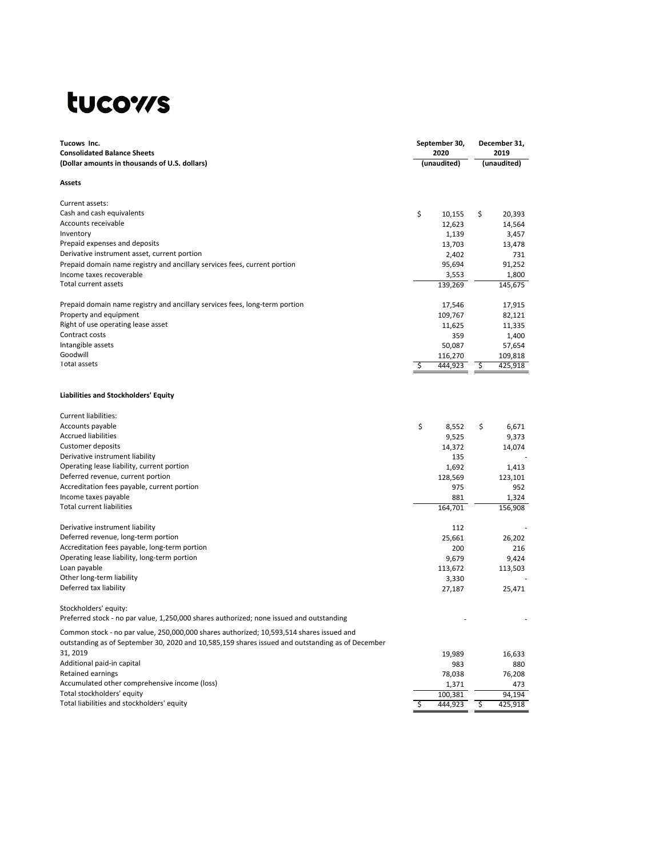## tucows

| Tucows Inc.<br><b>Consolidated Balance Sheets</b>                                                                                                                                            |    | September 30,<br>2020 | December 31,<br>2019 |                  |  |  |
|----------------------------------------------------------------------------------------------------------------------------------------------------------------------------------------------|----|-----------------------|----------------------|------------------|--|--|
| (Dollar amounts in thousands of U.S. dollars)                                                                                                                                                |    | (unaudited)           |                      | (unaudited)      |  |  |
| Assets                                                                                                                                                                                       |    |                       |                      |                  |  |  |
| Current assets:                                                                                                                                                                              |    |                       |                      |                  |  |  |
| Cash and cash equivalents                                                                                                                                                                    | \$ | 10,155                | \$                   | 20,393           |  |  |
| Accounts receivable                                                                                                                                                                          |    | 12,623                |                      | 14,564           |  |  |
| Inventory                                                                                                                                                                                    |    | 1,139                 |                      | 3,457            |  |  |
| Prepaid expenses and deposits                                                                                                                                                                |    | 13,703                |                      | 13,478           |  |  |
| Derivative instrument asset, current portion                                                                                                                                                 |    | 2,402<br>95,694       |                      | 731<br>91,252    |  |  |
| Prepaid domain name registry and ancillary services fees, current portion<br>Income taxes recoverable                                                                                        |    | 3,553                 |                      | 1,800            |  |  |
| Total current assets                                                                                                                                                                         |    | 139,269               |                      | 145,675          |  |  |
| Prepaid domain name registry and ancillary services fees, long-term portion                                                                                                                  |    | 17,546                |                      | 17,915           |  |  |
| Property and equipment                                                                                                                                                                       |    | 109,767               |                      | 82,121           |  |  |
| Right of use operating lease asset                                                                                                                                                           |    | 11,625                |                      | 11,335           |  |  |
| Contract costs                                                                                                                                                                               |    | 359                   |                      | 1,400            |  |  |
| Intangible assets                                                                                                                                                                            |    | 50,087                |                      | 57,654           |  |  |
| Goodwill                                                                                                                                                                                     |    | 116,270               |                      | 109,818          |  |  |
| Total assets                                                                                                                                                                                 | \$ | 444,923               | \$.                  | 425,918          |  |  |
| Liabilities and Stockholders' Equity                                                                                                                                                         |    |                       |                      |                  |  |  |
| Current liabilities:                                                                                                                                                                         |    |                       |                      |                  |  |  |
| Accounts payable                                                                                                                                                                             | \$ | 8,552                 | \$                   | 6,671            |  |  |
| <b>Accrued liabilities</b>                                                                                                                                                                   |    | 9,525                 |                      | 9,373            |  |  |
| Customer deposits                                                                                                                                                                            |    | 14,372                |                      | 14,074           |  |  |
| Derivative instrument liability                                                                                                                                                              |    | 135                   |                      |                  |  |  |
| Operating lease liability, current portion                                                                                                                                                   |    | 1,692                 |                      | 1,413            |  |  |
| Deferred revenue, current portion                                                                                                                                                            |    | 128,569               |                      | 123,101          |  |  |
| Accreditation fees payable, current portion                                                                                                                                                  |    | 975                   |                      | 952              |  |  |
| Income taxes payable<br><b>Total current liabilities</b>                                                                                                                                     |    | 881<br>164,701        |                      | 1,324<br>156,908 |  |  |
| Derivative instrument liability                                                                                                                                                              |    | 112                   |                      |                  |  |  |
| Deferred revenue, long-term portion                                                                                                                                                          |    | 25,661                |                      | 26,202           |  |  |
| Accreditation fees payable, long-term portion                                                                                                                                                |    | 200                   |                      | 216              |  |  |
| Operating lease liability, long-term portion                                                                                                                                                 |    | 9,679                 |                      | 9,424            |  |  |
| Loan payable                                                                                                                                                                                 |    | 113,672               |                      | 113,503          |  |  |
| Other long-term liability                                                                                                                                                                    |    | 3,330                 |                      |                  |  |  |
| Deferred tax liability                                                                                                                                                                       |    | 27,187                |                      | 25,471           |  |  |
| Stockholders' equity:                                                                                                                                                                        |    |                       |                      |                  |  |  |
| Preferred stock - no par value, 1,250,000 shares authorized; none issued and outstanding                                                                                                     |    |                       |                      |                  |  |  |
| Common stock - no par value, 250,000,000 shares authorized; 10,593,514 shares issued and<br>outstanding as of September 30, 2020 and 10,585,159 shares issued and outstanding as of December |    |                       |                      |                  |  |  |
| 31, 2019                                                                                                                                                                                     |    | 19,989                |                      | 16,633           |  |  |
| Additional paid-in capital                                                                                                                                                                   |    | 983                   |                      | 880              |  |  |
| Retained earnings                                                                                                                                                                            |    | 78,038                |                      | 76,208           |  |  |
| Accumulated other comprehensive income (loss)                                                                                                                                                |    | 1,371                 |                      | 473              |  |  |
| Total stockholders' equity                                                                                                                                                                   |    | 100,381               |                      | 94,194           |  |  |
| Total liabilities and stockholders' equity                                                                                                                                                   | \$ | 444,923               | \$                   | 425,918          |  |  |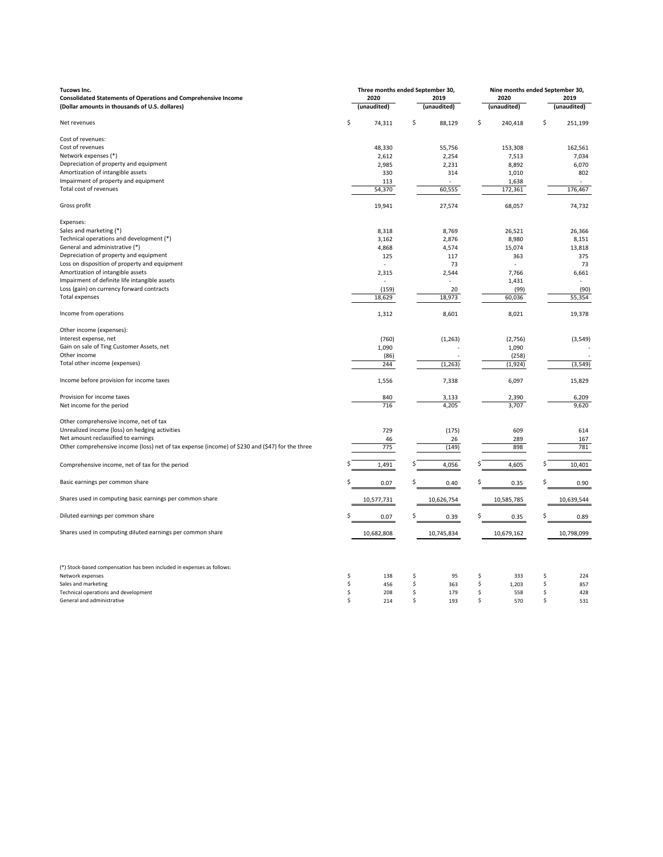| Tucows Inc.                                                                                     |     | Three months ended September 30, |    | Nine months ended September 30, |    |             |      |             |  |
|-------------------------------------------------------------------------------------------------|-----|----------------------------------|----|---------------------------------|----|-------------|------|-------------|--|
| <b>Consolidated Statements of Operations and Comprehensive Income</b>                           |     | 2020                             |    | 2019                            |    | 2020        | 2019 |             |  |
| (Dollar amounts in thousands of U.S. dollares)                                                  |     | (unaudited)                      |    | (unaudited)                     |    | (unaudited) |      | (unaudited) |  |
| Net revenues                                                                                    | \$  | 74,311                           | \$ | 88,129                          | \$ | 240,418     | \$   | 251,199     |  |
| Cost of revenues:                                                                               |     |                                  |    |                                 |    |             |      |             |  |
| Cost of revenues                                                                                |     | 48,330                           |    | 55,756                          |    | 153,308     |      | 162,561     |  |
| Network expenses (*)                                                                            |     | 2,612                            |    | 2,254                           |    | 7,513       |      | 7,034       |  |
| Depreciation of property and equipment                                                          |     | 2,985                            |    | 2,231                           |    | 8,892       |      | 6,070       |  |
| Amortization of intangible assets                                                               |     | 330                              |    | 314                             |    | 1,010       |      | 802         |  |
| Impairment of property and equipment                                                            |     | 113                              |    |                                 |    | 1,638       |      |             |  |
| Total cost of revenues                                                                          |     | 54,370                           |    | 60,555                          |    | 172,361     |      | 176,467     |  |
| Gross profit                                                                                    |     | 19,941                           |    | 27,574                          |    | 68,057      |      | 74,732      |  |
| Expenses:                                                                                       |     |                                  |    |                                 |    |             |      |             |  |
| Sales and marketing (*)                                                                         |     |                                  |    |                                 |    |             |      |             |  |
| Technical operations and development (*)                                                        |     | 8,318                            |    | 8,769                           |    | 26,521      |      | 26,366      |  |
| General and administrative (*)                                                                  |     | 3,162                            |    | 2,876                           |    | 8,980       |      | 8,151       |  |
|                                                                                                 |     | 4,868                            |    | 4,574                           |    | 15,074      |      | 13,818      |  |
| Depreciation of property and equipment                                                          |     | 125                              |    | 117                             |    | 363         |      | 375         |  |
| Loss on disposition of property and equipment                                                   |     |                                  |    | 73                              |    |             |      | 73          |  |
| Amortization of intangible assets                                                               |     | 2,315                            |    | 2,544                           |    | 7,766       |      | 6,661       |  |
| Impairment of definite life intangible assets                                                   |     |                                  |    |                                 |    | 1,431       |      |             |  |
| Loss (gain) on currency forward contracts                                                       |     | (159)                            |    | 20                              |    | (99)        |      | (90)        |  |
| <b>Total expenses</b>                                                                           |     | 18,629                           |    | 18,973                          |    | 60,036      |      | 55,354      |  |
| Income from operations                                                                          |     | 1,312                            |    | 8,601                           |    | 8,021       |      | 19,378      |  |
| Other income (expenses):                                                                        |     |                                  |    |                                 |    |             |      |             |  |
| Interest expense, net                                                                           |     | (760)                            |    | (1,263)                         |    | (2,756)     |      | (3, 549)    |  |
| Gain on sale of Ting Customer Assets, net                                                       |     | 1,090                            |    |                                 |    | 1,090       |      |             |  |
| Other income                                                                                    |     | (86)                             |    | ÷.                              |    | (258)       |      |             |  |
| Total other income (expenses)                                                                   |     | 244                              |    | (1, 263)                        |    | (1,924)     |      | (3, 549)    |  |
|                                                                                                 |     |                                  |    |                                 |    |             |      |             |  |
| Income before provision for income taxes                                                        |     | 1,556                            |    | 7,338                           |    | 6,097       |      | 15,829      |  |
| Provision for income taxes                                                                      |     | 840                              |    | 3,133                           |    | 2,390       |      | 6,209       |  |
| Net income for the period                                                                       |     | 716                              |    | 4,205                           |    | 3,707       |      | 9,620       |  |
| Other comprehensive income, net of tax                                                          |     |                                  |    |                                 |    |             |      |             |  |
| Unrealized income (loss) on hedging activities                                                  |     | 729                              |    | (175)                           |    | 609         |      | 614         |  |
| Net amount reclassified to earnings                                                             |     | 46                               |    | 26                              |    | 289         |      | 167         |  |
| Other comprehensive income (loss) net of tax expense (income) of \$230 and (\$47) for the three |     | 775                              |    | (149)                           |    | 898         |      | 781         |  |
| Comprehensive income, net of tax for the period                                                 |     | 1,491                            | \$ | 4,056                           |    | 4,605       |      | 10,401      |  |
|                                                                                                 |     |                                  |    |                                 |    |             |      |             |  |
| Basic earnings per common share                                                                 |     | 0.07                             |    | 0.40                            |    | 0.35        |      | 0.90        |  |
| Shares used in computing basic earnings per common share                                        |     | 10,577,731                       |    | 10,626,754                      |    | 10,585,785  |      | 10,639,544  |  |
| Diluted earnings per common share                                                               | Ś   | 0.07                             | Ś  | 0.39                            | Ś  | 0.35        | Ś    | 0.89        |  |
| Shares used in computing diluted earnings per common share                                      |     | 10,682,808                       |    | 10,745,834                      |    | 10,679,162  |      | 10,798,099  |  |
|                                                                                                 |     |                                  |    |                                 |    |             |      |             |  |
| (*) Stock-based compensation has been included in expenses as follows:                          |     |                                  |    |                                 |    |             |      |             |  |
| Network expenses                                                                                | \$  | 138                              | \$ | 95                              | Ś  | 333         | \$   | 224         |  |
| Sales and marketing                                                                             | \$  | 456                              | \$ | 363                             | \$ | 1,203       | \$   | 857         |  |
| Technical operations and development                                                            | \$  | 208                              | \$ | 179                             | \$ | 558         | Ś    | 428         |  |
| General and administrative                                                                      | \$. | 214                              | Š. | 193                             | Ś  | 570         | Ś    | 531         |  |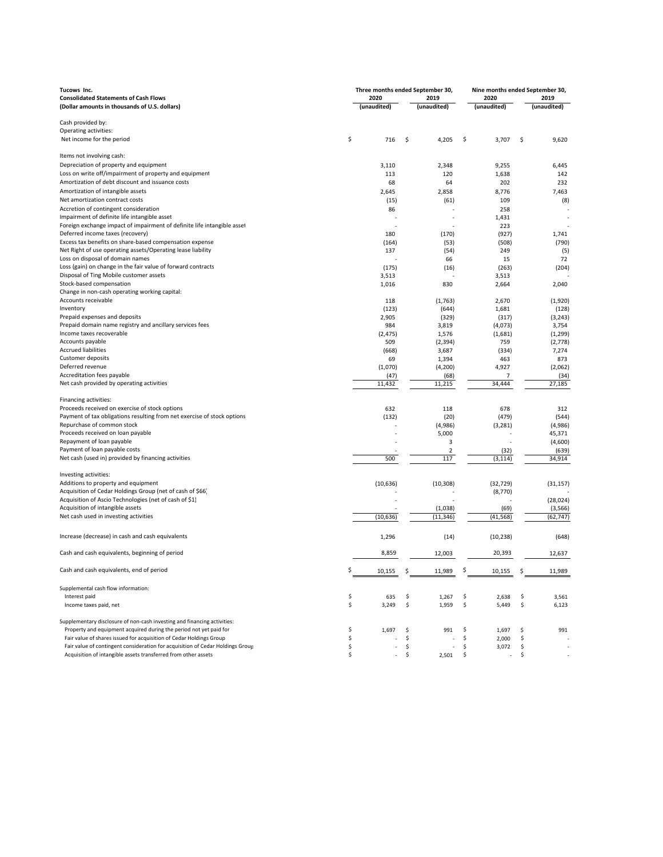| Tucows Inc.                                                                    |              | Three months ended September 30, |      |             | Nine months ended September 30, |    |             |
|--------------------------------------------------------------------------------|--------------|----------------------------------|------|-------------|---------------------------------|----|-------------|
| <b>Consolidated Statements of Cash Flows</b>                                   | 2020<br>2019 |                                  | 2020 | 2019        |                                 |    |             |
| (Dollar amounts in thousands of U.S. dollars)                                  |              | (unaudited)                      |      | (unaudited) | (unaudited)                     |    | (unaudited) |
|                                                                                |              |                                  |      |             |                                 |    |             |
| Cash provided by:                                                              |              |                                  |      |             |                                 |    |             |
| Operating activities:                                                          |              |                                  |      |             |                                 |    |             |
| Net income for the period                                                      | \$           | 716                              | \$   | 4,205       | \$<br>3,707                     | \$ | 9,620       |
|                                                                                |              |                                  |      |             |                                 |    |             |
| Items not involving cash:                                                      |              |                                  |      |             |                                 |    |             |
| Depreciation of property and equipment                                         |              | 3,110                            |      | 2,348       | 9,255                           |    | 6,445       |
| Loss on write off/impairment of property and equipment                         |              | 113                              |      | 120         | 1,638                           |    | 142         |
| Amortization of debt discount and issuance costs                               |              | 68                               |      | 64          | 202                             |    | 232         |
| Amortization of intangible assets                                              |              | 2,645                            |      | 2,858       | 8,776                           |    | 7,463       |
| Net amortization contract costs                                                |              | (15)                             |      | (61)        | 109                             |    | (8)         |
| Accretion of contingent consideration                                          |              | 86                               |      |             | 258                             |    |             |
| Impairment of definite life intangible asset                                   |              |                                  |      |             | 1,431                           |    |             |
| Foreign exchange impact of impairment of definite life intangible asset        |              |                                  |      |             | 223                             |    |             |
| Deferred income taxes (recovery)                                               |              | 180                              |      | (170)       | (927)                           |    | 1,741       |
| Excess tax benefits on share-based compensation expense                        |              | (164)                            |      | (53)        | (508)                           |    | (790)       |
| Net Right of use operating assets/Operating lease liability                    |              | 137                              |      | (54)        | 249                             |    | (5)         |
| Loss on disposal of domain names                                               |              |                                  |      | 66          | 15                              |    | 72          |
| Loss (gain) on change in the fair value of forward contracts                   |              | (175)                            |      | (16)        | (263)                           |    | (204)       |
| Disposal of Ting Mobile customer assets                                        |              | 3,513                            |      |             | 3,513                           |    |             |
| Stock-based compensation                                                       |              | 1,016                            |      | 830         | 2,664                           |    | 2,040       |
| Change in non-cash operating working capital:                                  |              |                                  |      |             |                                 |    |             |
| Accounts receivable                                                            |              | 118                              |      | (1,763)     | 2,670                           |    | (1,920)     |
| Inventory                                                                      |              | (123)                            |      | (644)       | 1,681                           |    | (128)       |
| Prepaid expenses and deposits                                                  |              | 2,905                            |      | (329)       | (317)                           |    | (3, 243)    |
| Prepaid domain name registry and ancillary services fees                       |              | 984                              |      | 3,819       | (4,073)                         |    | 3,754       |
| Income taxes recoverable                                                       |              | (2, 475)                         |      | 1,576       | (1,681)                         |    | (1, 299)    |
| Accounts payable                                                               |              | 509                              |      |             | 759                             |    |             |
| <b>Accrued liabilities</b>                                                     |              |                                  |      | (2, 394)    |                                 |    | (2,778)     |
| Customer deposits                                                              |              | (668)                            |      | 3,687       | (334)                           |    | 7,274       |
|                                                                                |              | 69                               |      | 1,394       | 463                             |    | 873         |
| Deferred revenue<br>Accreditation fees payable                                 |              | (1,070)                          |      | (4, 200)    | 4,927                           |    | (2,062)     |
|                                                                                |              | (47)                             |      | (68)        | $\overline{7}$                  |    | (34)        |
| Net cash provided by operating activities                                      |              | 11,432                           |      | 11,215      | 34,444                          |    | 27,185      |
|                                                                                |              |                                  |      |             |                                 |    |             |
| Financing activities:                                                          |              |                                  |      |             |                                 |    |             |
| Proceeds received on exercise of stock options                                 |              | 632                              |      | 118         | 678                             |    | 312         |
| Payment of tax obligations resulting from net exercise of stock options        |              | (132)                            |      | (20)        | (479)                           |    | (544)       |
| Repurchase of common stock                                                     |              |                                  |      | (4,986)     | (3, 281)                        |    | (4,986)     |
| Proceeds received on loan payable                                              |              |                                  |      | 5,000       |                                 |    | 45,371      |
| Repayment of loan payable                                                      |              |                                  |      | 3           |                                 |    | (4,600)     |
| Payment of loan payable costs                                                  |              |                                  |      | 2           | (32)                            |    | (639)       |
| Net cash (used in) provided by financing activities                            |              | 500                              |      | 117         | (3, 114)                        |    | 34,914      |
|                                                                                |              |                                  |      |             |                                 |    |             |
| Investing activities:                                                          |              |                                  |      |             |                                 |    |             |
| Additions to property and equipment                                            |              | (10, 636)                        |      | (10, 308)   | (32, 729)                       |    | (31, 157)   |
| Acquisition of Cedar Holdings Group (net of cash of \$66)                      |              |                                  |      |             | (8, 770)                        |    |             |
| Acquisition of Ascio Technologies (net of cash of \$1)                         |              |                                  |      |             |                                 |    | (28, 024)   |
| Acquisition of intangible assets                                               |              |                                  |      | (1,038)     | (69)                            |    | (3, 566)    |
| Net cash used in investing activities                                          |              | (10, 636)                        |      | (11, 346)   | (41, 568)                       |    | (62, 747)   |
|                                                                                |              |                                  |      |             |                                 |    |             |
| Increase (decrease) in cash and cash equivalents                               |              | 1,296                            |      | (14)        | (10, 238)                       |    | (648)       |
|                                                                                |              |                                  |      |             |                                 |    |             |
| Cash and cash equivalents, beginning of period                                 |              | 8,859                            |      | 12,003      | 20,393                          |    | 12,637      |
|                                                                                |              |                                  |      |             |                                 |    |             |
| Cash and cash equivalents, end of period                                       |              | 10,155                           |      | 11,989      | 10,155                          |    | 11,989      |
|                                                                                |              |                                  |      |             |                                 |    |             |
| Supplemental cash flow information:                                            |              |                                  |      |             |                                 |    |             |
| Interest paid                                                                  | \$           | 635                              | \$   | 1,267       | \$<br>2,638                     | \$ | 3,561       |
| Income taxes paid, net                                                         | \$           | 3,249                            | \$   | 1,959       | \$<br>5,449                     | \$ | 6,123       |
|                                                                                |              |                                  |      |             |                                 |    |             |
| Supplementary disclosure of non-cash investing and financing activities:       |              |                                  |      |             |                                 |    |             |
| Property and equipment acquired during the period not yet paid for             | \$           | 1,697                            | \$   | 991         | \$<br>1,697                     | \$ | 991         |
| Fair value of shares issued for acquisition of Cedar Holdings Group            | \$           |                                  | \$   |             | \$<br>2,000                     | \$ |             |
| Fair value of contingent consideration for acquisition of Cedar Holdings Group | \$           |                                  | \$   |             | \$<br>3,072                     | \$ |             |
| Acquisition of intangible assets transferred from other assets                 | \$           |                                  | \$   | 2,501       | \$                              | \$ |             |
|                                                                                |              |                                  |      |             |                                 |    |             |
|                                                                                |              |                                  |      |             |                                 |    |             |